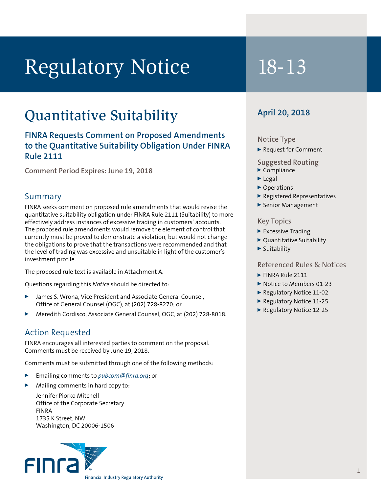# Regulatory Notice 18-13

## Quantitative Suitability

#### **FINRA Requests Comment on Proposed Amendments to the Quantitative Suitability Obligation Under FINRA Rule 2111**

**Comment Period Expires: June 19, 2018**

#### Summary

FINRA seeks comment on proposed rule amendments that would revise the quantitative suitability obligation under FINRA Rule 2111 (Suitability) to more effectively address instances of excessive trading in customers' accounts. The proposed rule amendments would remove the element of control that currently must be proved to demonstrate a violation, but would not change the obligations to prove that the transactions were recommended and that the level of trading was excessive and unsuitable in light of the customer's investment profile.

The proposed rule text is available in Attachment A.

Questions regarding this *Notice* should be directed to:

- James S. Wrona, Vice President and Associate General Counsel, Office of General Counsel (OGC), at (202) 728-8270; or
- <sup>0</sup> Meredith Cordisco, Associate General Counsel, OGC, at (202) 728-8018.

#### Action Requested

FINRA encourages all interested parties to comment on the proposal. Comments must be received by June 19, 2018.

Comments must be submitted through one of the following methods:

- <sup>0</sup> Emailing comments to *pubcom@finra.org*; or
- Mailing comments in hard copy to:

Jennifer Piorko Mitchell Office of the Corporate Secretary FINRA 1735 K Street, NW Washington, DC 20006-1506



### **April 20, 2018**

#### Notice Type

▶ Request for Comment

#### **Suggested Routing**

- $\blacktriangleright$  Compliance
- $\blacktriangleright$  Legal
- ▶ Operations
- <sup>0</sup> Registered Representatives
- ▶ Senior Management

#### Key Topics

- $\blacktriangleright$  Excessive Trading
- $\triangleright$  Ouantitative Suitability
- $\blacktriangleright$  Suitability

#### Referenced Rules & Notices

- $\blacktriangleright$  FINRA Rule 2111
- Notice to Members 01-23
- ▶ Regulatory Notice 11-02
- ▶ Regulatory Notice 11-25
- ▶ Regulatory Notice 12-25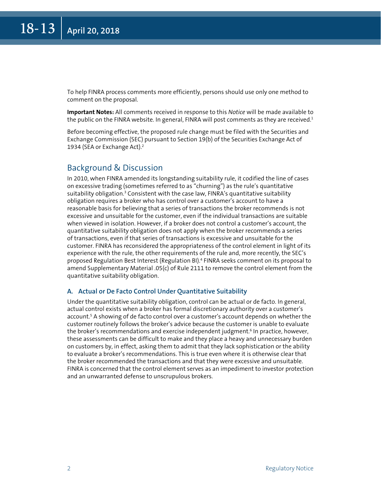To help FINRA process comments more efficiently, persons should use only one method to comment on the proposal.

**Important Notes:** All comments received in response to this *Notice* will be made available to the public on the FINRA website. In general, FINRA will post comments as they are received. $1$ 

Before becoming effective, the proposed rule change must be filed with the Securities and Exchange Commission (SEC) pursuant to Section 19(b) of the Securities Exchange Act of 1934 (SEA or Exchange Act).<sup>2</sup>

#### Background & Discussion

In 2010, when FINRA amended its longstanding suitability rule, it codified the line of cases on excessive trading (sometimes referred to as "churning") as the rule's quantitative suitability obligation.<sup>3</sup> Consistent with the case law, FINRA's quantitative suitability obligation requires a broker who has control over a customer's account to have a reasonable basis for believing that a series of transactions the broker recommends is not excessive and unsuitable for the customer, even if the individual transactions are suitable when viewed in isolation. However, if a broker does not control a customer's account, the quantitative suitability obligation does not apply when the broker recommends a series of transactions, even if that series of transactions is excessive and unsuitable for the customer. FINRA has reconsidered the appropriateness of the control element in light of its experience with the rule, the other requirements of the rule and, more recently, the SEC's proposed Regulation Best Interest (Regulation BI).<sup>4</sup> FINRA seeks comment on its proposal to amend Supplementary Material .05(c) of Rule 2111 to remove the control element from the quantitative suitability obligation.

#### **A. Actual or De Facto Control Under Quantitative Suitability**

Under the quantitative suitability obligation, control can be actual or de facto. In general, actual control exists when a broker has formal discretionary authority over a customer's account.5 A showing of de facto control over a customer's account depends on whether the customer routinely follows the broker's advice because the customer is unable to evaluate the broker's recommendations and exercise independent judgment.<sup>6</sup> In practice, however, these assessments can be difficult to make and they place a heavy and unnecessary burden on customers by, in effect, asking them to admit that they lack sophistication or the ability to evaluate a broker's recommendations. This is true even where it is otherwise clear that the broker recommended the transactions and that they were excessive and unsuitable. FINRA is concerned that the control element serves as an impediment to investor protection and an unwarranted defense to unscrupulous brokers.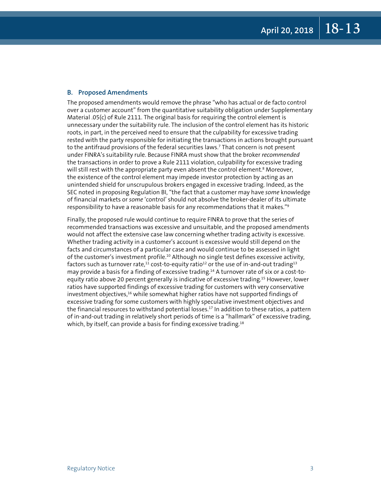#### **B. Proposed Amendments**

The proposed amendments would remove the phrase "who has actual or de facto control over a customer account" from the quantitative suitability obligation under Supplementary Material .05(c) of Rule 2111. The original basis for requiring the control element is unnecessary under the suitability rule. The inclusion of the control element has its historic roots, in part, in the perceived need to ensure that the culpability for excessive trading rested with the party responsible for initiating the transactions in actions brought pursuant to the antifraud provisions of the federal securities laws.7 That concern is not present under FINRA's suitability rule. Because FINRA must show that the broker *recommended* the transactions in order to prove a Rule 2111 violation, culpability for excessive trading will still rest with the appropriate party even absent the control element.8 Moreover, the existence of the control element may impede investor protection by acting as an unintended shield for unscrupulous brokers engaged in excessive trading. Indeed, as the SEC noted in proposing Regulation BI, "the fact that a customer may have *some* knowledge of financial markets or *some* 'control' should not absolve the broker-dealer of its ultimate responsibility to have a reasonable basis for any recommendations that it makes."9

Finally, the proposed rule would continue to require FINRA to prove that the series of recommended transactions was excessive and unsuitable, and the proposed amendments would not affect the extensive case law concerning whether trading activity is excessive. Whether trading activity in a customer's account is excessive would still depend on the facts and circumstances of a particular case and would continue to be assessed in light of the customer's investment profile.<sup>10</sup> Although no single test defines excessive activity, factors such as turnover rate,<sup>11</sup> cost-to-equity ratio<sup>12</sup> or the use of in-and-out trading<sup>13</sup> may provide a basis for a finding of excessive trading.14 A turnover rate of six or a cost-toequity ratio above 20 percent generally is indicative of excessive trading.<sup>15</sup> However, lower ratios have supported findings of excessive trading for customers with very conservative investment objectives, $16$  while somewhat higher ratios have not supported findings of excessive trading for some customers with highly speculative investment objectives and the financial resources to withstand potential losses.<sup>17</sup> In addition to these ratios, a pattern of in-and-out trading in relatively short periods of time is a "hallmark" of excessive trading, which, by itself, can provide a basis for finding excessive trading.<sup>18</sup>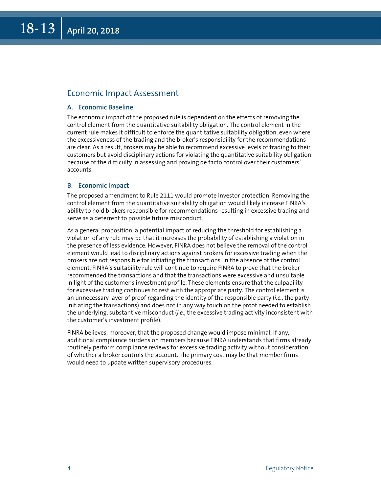#### Economic Impact Assessment

#### **A. Economic Baseline**

The economic impact of the proposed rule is dependent on the effects of removing the control element from the quantitative suitability obligation. The control element in the current rule makes it difficult to enforce the quantitative suitability obligation, even where the excessiveness of the trading and the broker's responsibility for the recommendations are clear. As a result, brokers may be able to recommend excessive levels of trading to their customers but avoid disciplinary actions for violating the quantitative suitability obligation because of the difficulty in assessing and proving de facto control over their customers' accounts.

#### **B. Economic Impact**

The proposed amendment to Rule 2111 would promote investor protection. Removing the control element from the quantitative suitability obligation would likely increase FINRA's ability to hold brokers responsible for recommendations resulting in excessive trading and serve as a deterrent to possible future misconduct.

As a general proposition, a potential impact of reducing the threshold for establishing a violation of any rule may be that it increases the probability of establishing a violation in the presence of less evidence. However, FINRA does not believe the removal of the control element would lead to disciplinary actions against brokers for excessive trading when the brokers are not responsible for initiating the transactions. In the absence of the control element, FINRA's suitability rule will continue to require FINRA to prove that the broker recommended the transactions and that the transactions were excessive and unsuitable in light of the customer's investment profile. These elements ensure that the culpability for excessive trading continues to rest with the appropriate party. The control element is an unnecessary layer of proof regarding the identity of the responsible party (*i.e.*, the party initiating the transactions) and does not in any way touch on the proof needed to establish the underlying, substantive misconduct (*i.e.*, the excessive trading activity inconsistent with the customer's investment profile).

FINRA believes, moreover, that the proposed change would impose minimal, if any, additional compliance burdens on members because FINRA understands that firms already routinely perform compliance reviews for excessive trading activity without consideration of whether a broker controls the account. The primary cost may be that member firms would need to update written supervisory procedures.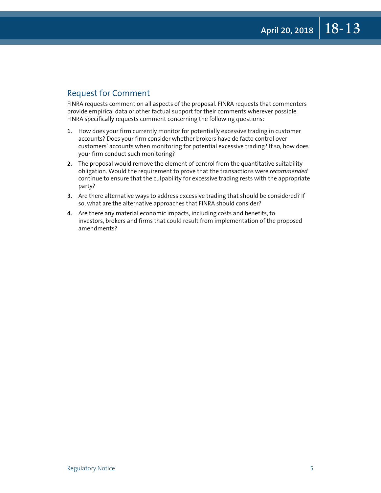#### Request for Comment

FINRA requests comment on all aspects of the proposal. FINRA requests that commenters provide empirical data or other factual support for their comments wherever possible. FINRA specifically requests comment concerning the following questions:

- **1.** How does your firm currently monitor for potentially excessive trading in customer accounts? Does your firm consider whether brokers have de facto control over customers' accounts when monitoring for potential excessive trading? If so, how does your firm conduct such monitoring?
- **2.** The proposal would remove the element of control from the quantitative suitability obligation. Would the requirement to prove that the transactions were *recommended* continue to ensure that the culpability for excessive trading rests with the appropriate party?
- **3.** Are there alternative ways to address excessive trading that should be considered? If so, what are the alternative approaches that FINRA should consider?
- **4.** Are there any material economic impacts, including costs and benefits, to investors, brokers and firms that could result from implementation of the proposed amendments?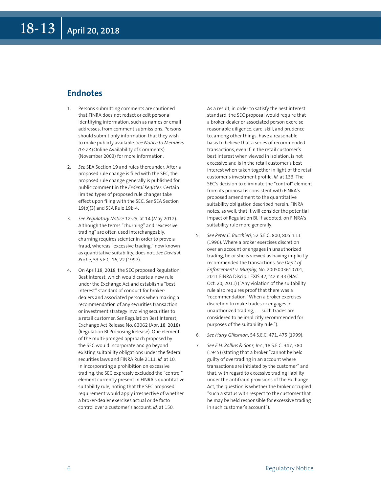#### **Endnotes**

- 1. Persons submitting comments are cautioned that FINRA does not redact or edit personal identifying information, such as names or email addresses, from comment submissions. Persons should submit only information that they wish to make publicly available. *See Notice to Members 03-73* (Online Availability of Comments) (November 2003) for more information.
- 2. *See* SEA Section 19 and rules thereunder. After a proposed rule change is filed with the SEC, the proposed rule change generally is published for public comment in the *Federal Register*. Certain limited types of proposed rule changes take effect upon filing with the SEC. *See* SEA Section 19(b)(3) and SEA Rule 19b-4.
- 3. *See Regulatory Notice 12-25*, at 14 (May 2012). Although the terms "churning" and "excessive trading" are often used interchangeably, churning requires scienter in order to prove a fraud, whereas "excessive trading," now known as quantitative suitability, does not. *See David A. Roche*, 53 S.E.C. 16, 22 (1997).
- 4. On April 18, 2018, the SEC proposed Regulation Best Interest, which would create a new rule under the Exchange Act and establish a "best interest" standard of conduct for brokerdealers and associated persons when making a recommendation of any securities transaction or investment strategy involving securities to a retail customer. *See* Regulation Best Interest, Exchange Act Release No. 83062 (Apr. 18, 2018) (Regulation BI Proposing Release). One element of the multi-pronged approach proposed by the SEC would incorporate and go beyond existing suitability obligations under the federal securities laws and FINRA Rule 2111. *Id.* at 10. In incorporating a prohibition on excessive trading, the SEC expressly excluded the "control" element currently present in FINRA's quantitative suitability rule, noting that the SEC proposed requirement would apply irrespective of whether a broker-dealer exercises actual or de facto control over a customer's account. *Id.* at 150.

As a result, in order to satisfy the best interest standard, the SEC proposal would require that a broker-dealer or associated person exercise reasonable diligence, care, skill, and prudence to, among other things, have a reasonable basis to believe that a series of recommended transactions, even if in the retail customer's best interest when viewed in isolation, is not excessive and is in the retail customer's best interest when taken together in light of the retail customer's investment profile. *Id.* at 133. The SEC's decision to eliminate the "control" element from its proposal is consistent with FINRA's proposed amendment to the quantitative suitability obligation described herein. FINRA notes, as well, that it will consider the potential impact of Regulation BI, if adopted, on FINRA's suitability rule more generally.

- 5. *See Peter C. Bucchieri*, 52 S.E.C. 800, 805 n.11 (1996). Where a broker exercises discretion over an account or engages in unauthorized trading, he or she is viewed as having implicitly recommended the transactions. *See Dep't of Enforcement v. Murphy*, No. 2005003610701, 2011 FINRA Discip. LEXIS 42, \*42 n.33 (NAC Oct. 20, 2011) ("Any violation of the suitability rule also requires proof that there was a 'recommendation.' When a broker exercises discretion to make trades or engages in unauthorized trading, . . . such trades are considered to be implicitly recommended for purposes of the suitability rule.").
- 6. *See Harry Gliksman*, 54 S.E.C. 471, 475 (1999).
- 7. *See E.H. Rollins & Sons, Inc.*, 18 S.E.C. 347, 380 (1945) (stating that a broker "cannot be held guilty of overtrading in an account where transactions are initiated by the customer" and that, with regard to excessive trading liability under the antifraud provisions of the Exchange Act, the question is whether the broker occupied "such a status with respect to the customer that he may be held responsible for excessive trading in such customer's account").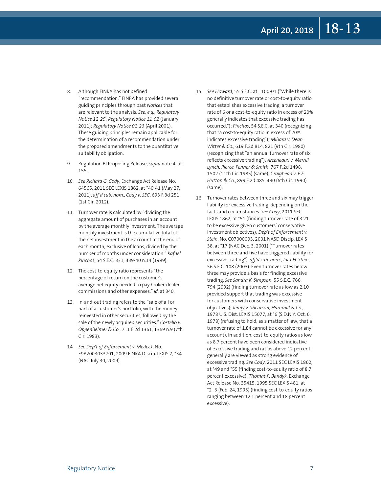- 8. Although FINRA has not defined "recommendation," FINRA has provided several guiding principles through past *Notices* that are relevant to the analysis. *See*, *e.g.*, *Regulatory Notice 12-25; Regulatory Notice 11-02* (January 2011); *Regulatory Notice 01-23* (April 2001). These guiding principles remain applicable for the determination of a recommendation under the proposed amendments to the quantitative suitability obligation.
- 9. Regulation BI Proposing Release, *supra* note 4, at 155.
- 10. *See Richard G. Cody*, Exchange Act Release No. 64565, 2011 SEC LEXIS 1862, at \*40-41 (May 27, 2011), *aff'd sub. nom.*, *Cody v. SEC*, 693 F.3d 251 (1st Cir. 2012).
- 11. Turnover rate is calculated by "dividing the aggregate amount of purchases in an account by the average monthly investment. The average monthly investment is the cumulative total of the net investment in the account at the end of each month, exclusive of loans, divided by the number of months under consideration." *Rafael Pinchas*, 54 S.E.C. 331, 339-40 n.14 (1999).
- 12. The cost-to-equity ratio represents "the percentage of return on the customer's average net equity needed to pay broker-dealer commissions and other expenses." *Id.* at 340.
- 13. In-and-out trading refers to the "sale of all or part of a customer's portfolio, with the money reinvested in other securities, followed by the sale of the newly acquired securities." *Costello v. Oppenheimer & Co.*, 711 F.2d 1361, 1369 n.9 (7th Cir. 1983).
- 14. *See Dep't of Enforcement v. Medeck*, No. E9B2003033701, 2009 FINRA Discip. LEXIS 7, \*34 (NAC July 30, 2009).
- 15. *See Howard*, 55 S.E.C. at 1100-01 ("While there is no definitive turnover rate or cost-to-equity ratio that establishes excessive trading, a turnover rate of 6 or a cost-to-equity ratio in excess of 20% generally indicates that excessive trading has occurred."); *Pinchas*, 54 S.E.C. at 340 (recognizing that "a cost-to-equity ratio in excess of 20% indicates excessive trading"); *Mihara v. Dean Witter & Co.*, 619 F.2d 814, 821 (9th Cir. 1980) (recognizing that "an annual turnover rate of six reflects excessive trading"); *Arceneaux v. Merrill Lynch, Pierce, Fenner & Smith*, 767 F.2d 1498, 1502 (11th Cir. 1985) (same); *Craighead v. E.F. Hutton & Co.*, 899 F.2d 485, 490 (6th Cir. 1990) (same).
- 16. Turnover rates between three and six may trigger liability for excessive trading, depending on the facts and circumstances. *See Cody*, 2011 SEC LEXIS 1862, at \*51 (finding turnover rate of 3.21 to be excessive given customers' conservative investment objectives); *Dep't of Enforcement v. Stein*, No. C07000003, 2001 NASD Discip. LEXIS 38, at \*17 (NAC Dec. 3, 2001) ("Turnover rates between three and five have triggered liability for excessive trading"), *aff'd sub. nom.*, *Jack H. Stein*, 56 S.E.C. 108 (2003). Even turnover rates below three may provide a basis for finding excessive trading. *See Sandra K. Simpson*, 55 S.E.C. 766, 794 (2002) (finding turnover rate as low as 2.10 provided support that trading was excessive for customers with conservative investment objectives); *Jenny v. Shearson*, *Hammill & Co.*, 1978 U.S. Dist. LEXIS 15077, at \*6 (S.D.N.Y. Oct. 6, 1978) (refusing to hold, as a matter of law, that a turnover rate of 1.84 cannot be excessive for any account). In addition, cost-to-equity ratios as low as 8.7 percent have been considered indicative of excessive trading and ratios above 12 percent generally are viewed as strong evidence of excessive trading. *See Cody*, 2011 SEC LEXIS 1862, at \*49 and \*55 (finding cost-to-equity ratio of 8.7 percent excessive); *Thomas F. Bandyk*, Exchange Act Release No. 35415, 1995 SEC LEXIS 481, at \*2–3 (Feb. 24, 1995) (finding cost-to-equity ratios ranging between 12.1 percent and 18 percent excessive).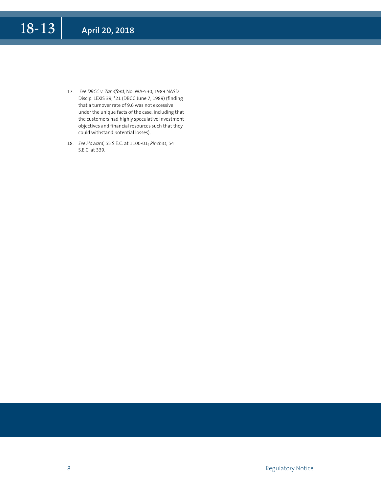- 17. *See DBCC v. Zandford*, No. WA-530, 1989 NASD Discip. LEXIS 39, \*21 (DBCC June 7, 1989) (finding that a turnover rate of 9.6 was not excessive under the unique facts of the case, including that the customers had highly speculative investment objectives and financial resources such that they could withstand potential losses).
- 18. *See Howard*, 55 S.E.C. at 1100-01; *Pinchas*, 54 S.E.C. at 339.